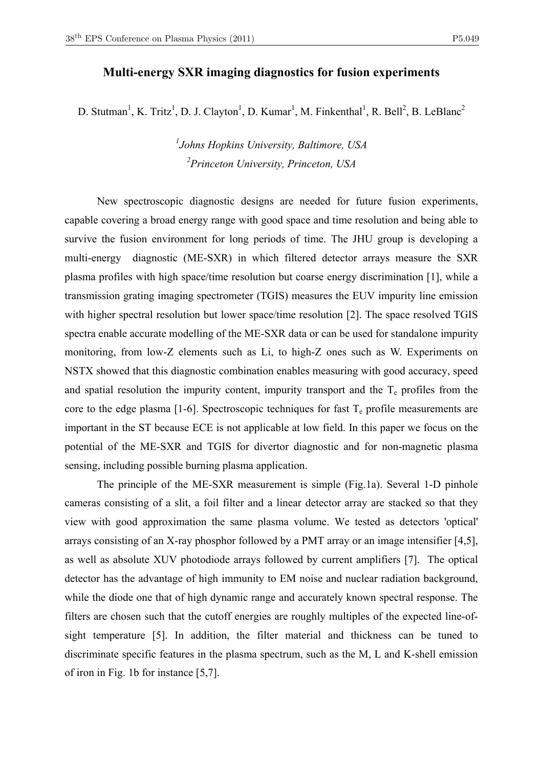## **Multi-energy SXR imaging diagnostics for fusion experiments**

D. Stutman<sup>1</sup>, K. Tritz<sup>1</sup>, D. J. Clayton<sup>1</sup>, D. Kumar<sup>1</sup>, M. Finkenthal<sup>1</sup>, R. Bell<sup>2</sup>, B. LeBlanc<sup>2</sup>

*1 Johns Hopkins University, Baltimore, USA 2 Princeton University, Princeton, USA* 

 New spectroscopic diagnostic designs are needed for future fusion experiments, capable covering a broad energy range with good space and time resolution and being able to survive the fusion environment for long periods of time. The JHU group is developing a multi-energy diagnostic (ME-SXR) in which filtered detector arrays measure the SXR plasma profiles with high space/time resolution but coarse energy discrimination [1], while a transmission grating imaging spectrometer (TGIS) measures the EUV impurity line emission with higher spectral resolution but lower space/time resolution [2]. The space resolved TGIS spectra enable accurate modelling of the ME-SXR data or can be used for standalone impurity monitoring, from low-Z elements such as Li, to high-Z ones such as W. Experiments on NSTX showed that this diagnostic combination enables measuring with good accuracy, speed and spatial resolution the impurity content, impurity transport and the  $T_e$  profiles from the core to the edge plasma [1-6]. Spectroscopic techniques for fast  $T_e$  profile measurements are important in the ST because ECE is not applicable at low field. In this paper we focus on the potential of the ME-SXR and TGIS for divertor diagnostic and for non-magnetic plasma sensing, including possible burning plasma application.

 The principle of the ME-SXR measurement is simple (Fig.1a). Several 1-D pinhole cameras consisting of a slit, a foil filter and a linear detector array are stacked so that they view with good approximation the same plasma volume. We tested as detectors 'optical' arrays consisting of an X-ray phosphor followed by a PMT array or an image intensifier [4,5], as well as absolute XUV photodiode arrays followed by current amplifiers [7]. The optical detector has the advantage of high immunity to EM noise and nuclear radiation background, while the diode one that of high dynamic range and accurately known spectral response. The filters are chosen such that the cutoff energies are roughly multiples of the expected line-ofsight temperature [5]. In addition, the filter material and thickness can be tuned to discriminate specific features in the plasma spectrum, such as the M, L and K-shell emission of iron in Fig. 1b for instance [5,7].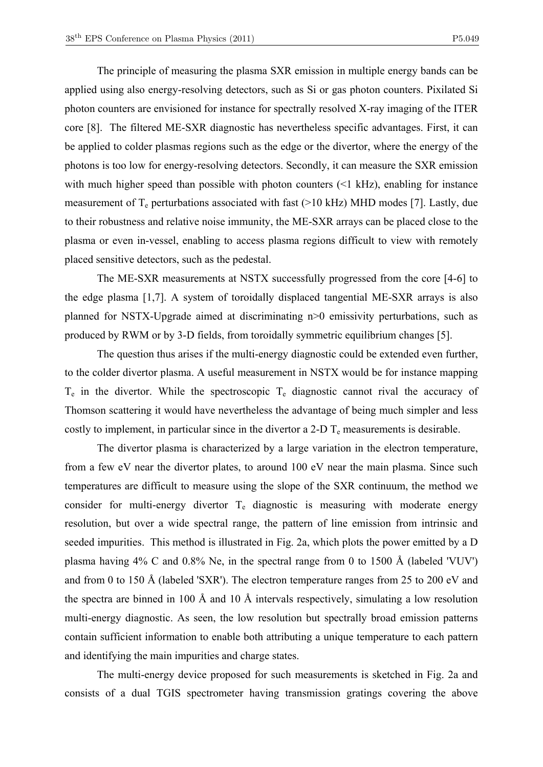The principle of measuring the plasma SXR emission in multiple energy bands can be applied using also energy-resolving detectors, such as Si or gas photon counters. Pixilated Si photon counters are envisioned for instance for spectrally resolved X-ray imaging of the ITER core [8]. The filtered ME-SXR diagnostic has nevertheless specific advantages. First, it can be applied to colder plasmas regions such as the edge or the divertor, where the energy of the photons is too low for energy-resolving detectors. Secondly, it can measure the SXR emission with much higher speed than possible with photon counters  $\ll$ 1 kHz), enabling for instance measurement of  $T_e$  perturbations associated with fast (>10 kHz) MHD modes [7]. Lastly, due to their robustness and relative noise immunity, the ME-SXR arrays can be placed close to the plasma or even in-vessel, enabling to access plasma regions difficult to view with remotely placed sensitive detectors, such as the pedestal.

 The ME-SXR measurements at NSTX successfully progressed from the core [4-6] to the edge plasma [1,7]. A system of toroidally displaced tangential ME-SXR arrays is also planned for NSTX-Upgrade aimed at discriminating n>0 emissivity perturbations, such as produced by RWM or by 3-D fields, from toroidally symmetric equilibrium changes [5].

 The question thus arises if the multi-energy diagnostic could be extended even further, to the colder divertor plasma. A useful measurement in NSTX would be for instance mapping  $T_e$  in the divertor. While the spectroscopic  $T_e$  diagnostic cannot rival the accuracy of Thomson scattering it would have nevertheless the advantage of being much simpler and less costly to implement, in particular since in the divertor a 2-D  $T_e$  measurements is desirable.

 The divertor plasma is characterized by a large variation in the electron temperature, from a few eV near the divertor plates, to around 100 eV near the main plasma. Since such temperatures are difficult to measure using the slope of the SXR continuum, the method we consider for multi-energy divertor  $T_e$  diagnostic is measuring with moderate energy resolution, but over a wide spectral range, the pattern of line emission from intrinsic and seeded impurities. This method is illustrated in Fig. 2a, which plots the power emitted by a D plasma having 4% C and 0.8% Ne, in the spectral range from 0 to 1500 Å (labeled 'VUV') and from 0 to 150 Å (labeled 'SXR'). The electron temperature ranges from 25 to 200 eV and the spectra are binned in 100 Å and 10 Å intervals respectively, simulating a low resolution multi-energy diagnostic. As seen, the low resolution but spectrally broad emission patterns contain sufficient information to enable both attributing a unique temperature to each pattern and identifying the main impurities and charge states.

 The multi-energy device proposed for such measurements is sketched in Fig. 2a and consists of a dual TGIS spectrometer having transmission gratings covering the above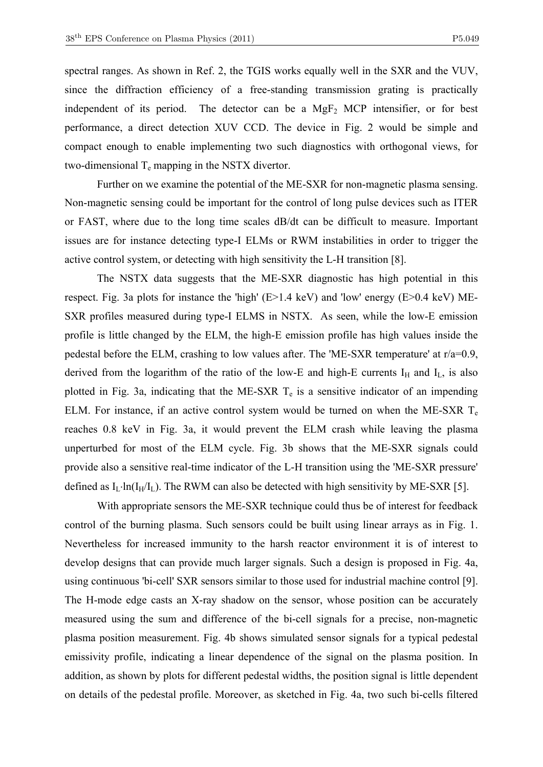spectral ranges. As shown in Ref. 2, the TGIS works equally well in the SXR and the VUV, since the diffraction efficiency of a free-standing transmission grating is practically independent of its period. The detector can be a  $MgF_2$  MCP intensifier, or for best performance, a direct detection XUV CCD. The device in Fig. 2 would be simple and compact enough to enable implementing two such diagnostics with orthogonal views, for two-dimensional  $T_e$  mapping in the NSTX divertor.

 Further on we examine the potential of the ME-SXR for non-magnetic plasma sensing. Non-magnetic sensing could be important for the control of long pulse devices such as ITER or FAST, where due to the long time scales dB/dt can be difficult to measure. Important issues are for instance detecting type-I ELMs or RWM instabilities in order to trigger the active control system, or detecting with high sensitivity the L-H transition [8].

 The NSTX data suggests that the ME-SXR diagnostic has high potential in this respect. Fig. 3a plots for instance the 'high' (E>1.4 keV) and 'low' energy (E>0.4 keV) ME-SXR profiles measured during type-I ELMS in NSTX. As seen, while the low-E emission profile is little changed by the ELM, the high-E emission profile has high values inside the pedestal before the ELM, crashing to low values after. The 'ME-SXR temperature' at r/a=0.9, derived from the logarithm of the ratio of the low-E and high-E currents  $I_H$  and  $I_L$ , is also plotted in Fig. 3a, indicating that the ME-SXR  $T_e$  is a sensitive indicator of an impending ELM. For instance, if an active control system would be turned on when the ME-SXR  $T_e$ reaches 0.8 keV in Fig. 3a, it would prevent the ELM crash while leaving the plasma unperturbed for most of the ELM cycle. Fig. 3b shows that the ME-SXR signals could provide also a sensitive real-time indicator of the L-H transition using the 'ME-SXR pressure' defined as  $I_L \cdot ln(I_H/I_L)$ . The RWM can also be detected with high sensitivity by ME-SXR [5].

 With appropriate sensors the ME-SXR technique could thus be of interest for feedback control of the burning plasma. Such sensors could be built using linear arrays as in Fig. 1. Nevertheless for increased immunity to the harsh reactor environment it is of interest to develop designs that can provide much larger signals. Such a design is proposed in Fig. 4a, using continuous 'bi-cell' SXR sensors similar to those used for industrial machine control [9]. The H-mode edge casts an X-ray shadow on the sensor, whose position can be accurately measured using the sum and difference of the bi-cell signals for a precise, non-magnetic plasma position measurement. Fig. 4b shows simulated sensor signals for a typical pedestal emissivity profile, indicating a linear dependence of the signal on the plasma position. In addition, as shown by plots for different pedestal widths, the position signal is little dependent on details of the pedestal profile. Moreover, as sketched in Fig. 4a, two such bi-cells filtered